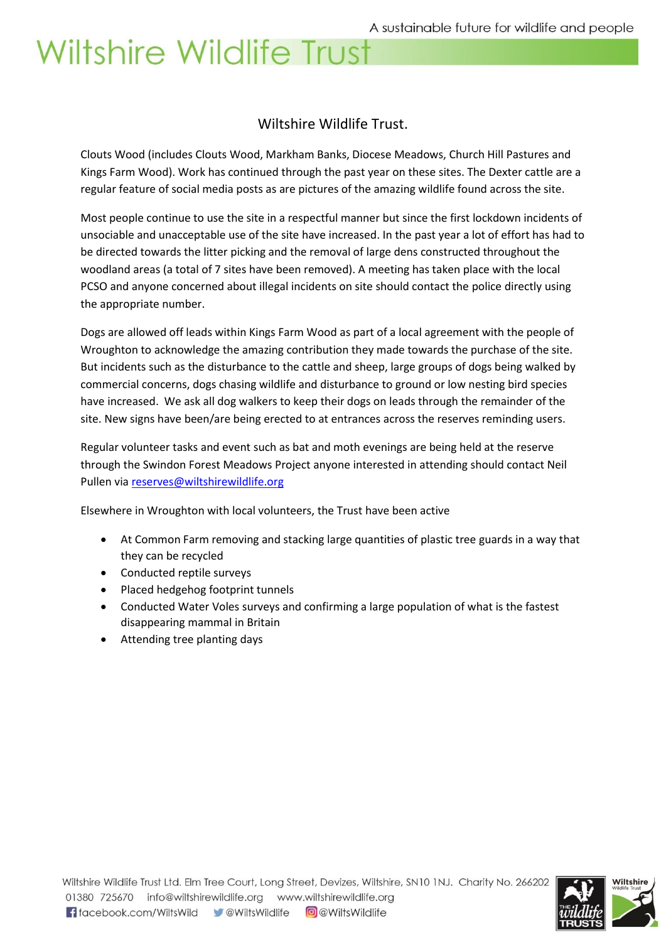#### Wiltshire Wildlife Trust.

Clouts Wood (includes Clouts Wood, Markham Banks, Diocese Meadows, Church Hill Pastures and Kings Farm Wood). Work has continued through the past year on these sites. The Dexter cattle are a regular feature of social media posts as are pictures of the amazing wildlife found across the site.

Most people continue to use the site in a respectful manner but since the first lockdown incidents of unsociable and unacceptable use of the site have increased. In the past year a lot of effort has had to be directed towards the litter picking and the removal of large dens constructed throughout the woodland areas (a total of 7 sites have been removed). A meeting has taken place with the local PCSO and anyone concerned about illegal incidents on site should contact the police directly using the appropriate number.

Dogs are allowed off leads within Kings Farm Wood as part of a local agreement with the people of Wroughton to acknowledge the amazing contribution they made towards the purchase of the site. But incidents such as the disturbance to the cattle and sheep, large groups of dogs being walked by commercial concerns, dogs chasing wildlife and disturbance to ground or low nesting bird species have increased. We ask all dog walkers to keep their dogs on leads through the remainder of the site. New signs have been/are being erected to at entrances across the reserves reminding users.

Regular volunteer tasks and event such as bat and moth evenings are being held at the reserve through the Swindon Forest Meadows Project anyone interested in attending should contact Neil Pullen vi[a reserves@wiltshirewildlife.org](mailto:reserves@wiltshirewildlife.org)

Elsewhere in Wroughton with local volunteers, the Trust have been active

- At Common Farm removing and stacking large quantities of plastic tree guards in a way that they can be recycled
- Conducted reptile surveys
- Placed hedgehog footprint tunnels
- Conducted Water Voles surveys and confirming a large population of what is the fastest disappearing mammal in Britain
- Attending tree planting days

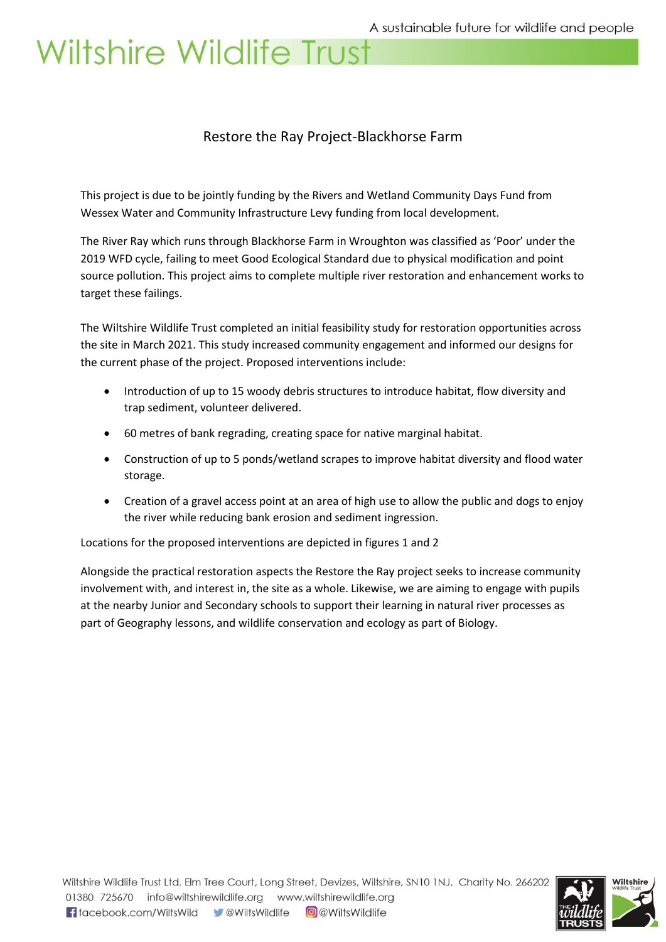#### Restore the Ray Project-Blackhorse Farm

This project is due to be jointly funding by the Rivers and Wetland Community Days Fund from Wessex Water and Community Infrastructure Levy funding from local development.

The River Ray which runs through Blackhorse Farm in Wroughton was classified as 'Poor' under the 2019 WFD cycle, failing to meet Good Ecological Standard due to physical modification and point source pollution. This project aims to complete multiple river restoration and enhancement works to target these failings.

The Wiltshire Wildlife Trust completed an initial feasibility study for restoration opportunities across the site in March 2021. This study increased community engagement and informed our designs for the current phase of the project. Proposed interventions include:

- Introduction of up to 15 woody debris structures to introduce habitat, flow diversity and trap sediment, volunteer delivered.
- 60 metres of bank regrading, creating space for native marginal habitat.
- Construction of up to 5 ponds/wetland scrapes to improve habitat diversity and flood water storage.
- Creation of a gravel access point at an area of high use to allow the public and dogs to enjoy the river while reducing bank erosion and sediment ingression.

Locations for the proposed interventions are depicted in figures 1 and 2

Alongside the practical restoration aspects the Restore the Ray project seeks to increase community involvement with, and interest in, the site as a whole. Likewise, we are aiming to engage with pupils at the nearby Junior and Secondary schools to support their learning in natural river processes as part of Geography lessons, and wildlife conservation and ecology as part of Biology.

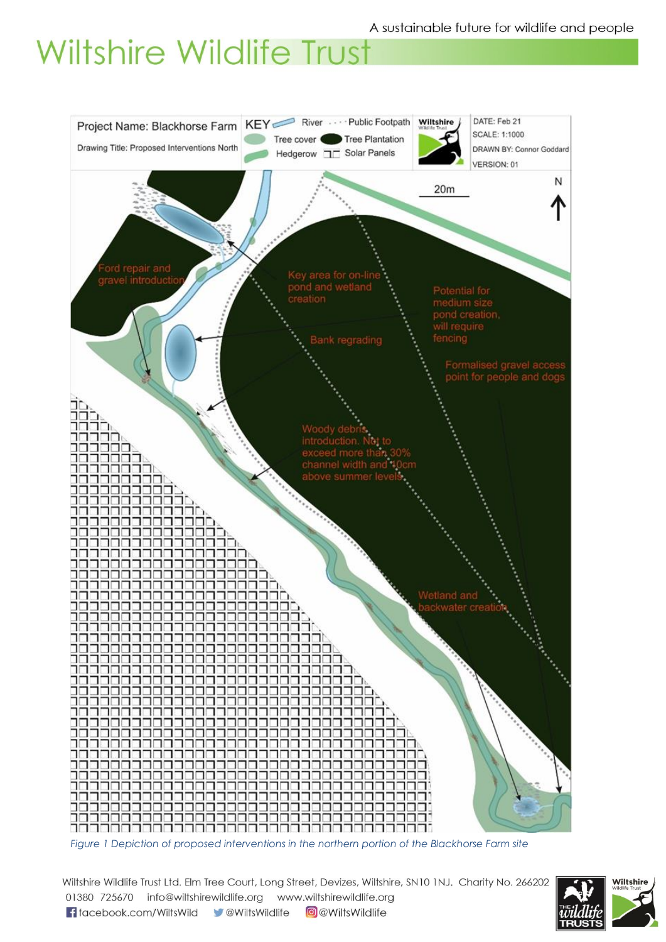

Wiltshire Wildlife Trust Ltd. Elm Tree Court, Long Street, Devizes, Wiltshire, SN10 1NJ. Charity No. 266202 01380 725670 info@wiltshirewildlife.org www.wiltshirewildlife.org f facebook.com/WiltsWild v @WiltsWildlife **O** @WiltsWildlife